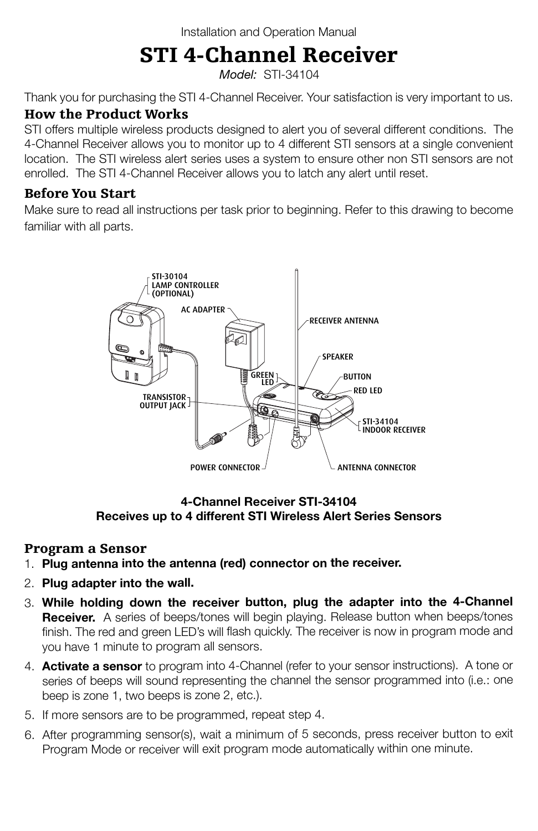## STI 4-Channel Receiver

*Model:* STI-34104

Thank you for purchasing the STI 4-Channel Receiver. Your satisfaction is very important to us.

#### How the Product Works

STI offers multiple wireless products designed to alert you of several different conditions. The 4-Channel Receiver allows you to monitor up to 4 different STI sensors at a single convenient 12' location. The STI wireless alert series uses a system to ensure other non STI sensors are not enrolled. The STI 4-Channel Receiver allows you to latch any alert until reset.

#### Before You Start

Make sure to read all instructions per task prior to beginning. Refer to this drawing to become familiar with all parts.



**4-Channel Receiver STI-34104 Receives up to 4 different STI Wireless Alert Series Sensors**

#### Program a Sensor

- 1. **Plug antenna into the antenna (red) connector on the receiver.**
- 2. **Plug adapter into the wall.**
- 3. **While holding down the receiver button, plug the adapter into the 4-Channel Receiver.** A series of beeps/tones will begin playing. Release button when beeps/tones finish. The red and green LED's will flash quickly. The receiver is now in program mode and you have 1 minute to program all sensors.
- 4. **Activate a sensor** to program into 4-Channel (refer to your sensor instructions). A tone or series of beeps will sound representing the channel the sensor programmed into (i.e.: one beep is zone 1, two beeps is zone 2, etc.).
- 5. If more sensors are to be programmed, repeat step 4.
- 6. After programming sensor(s), wait a minimum of 5 seconds, press receiver button to exit Program Mode or receiver will exit program mode automatically within one minute.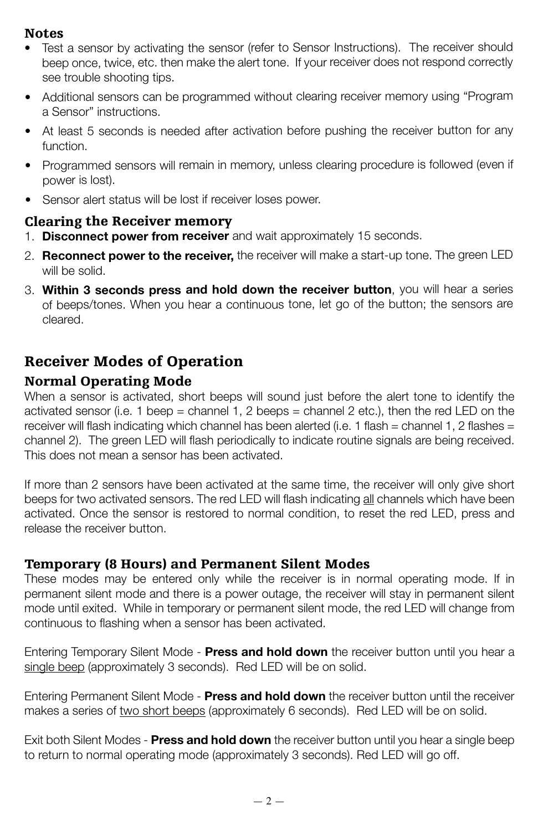#### Notes

- Test a sensor by activating the sensor (refer to Sensor Instructions). The receiver should beep once, twice, etc. then make the alert tone. If your receiver does not respond correctly see trouble shooting tips.
- Additional sensors can be programmed without clearing receiver memory using "Program a Sensor" instructions.
- At least 5 seconds is needed after activation before pushing the receiver button for any function.
- Programmed sensors will remain in memory, unless clearing procedure is followed (even if power is lost).
- Sensor alert status will be lost if receiver loses power.

#### Clearing the Receiver memory

- 1. **Disconnect power from receiver** and wait approximately 15 seconds.
- 2. **Reconnect power to the receiver,** the receiver will make a start-up tone. The green LED will be solid.
- 3. **Within 3 seconds press and hold down the receiver button**, you will hear a series of beeps/tones. When you hear a continuous tone, let go of the button; the sensors are cleared.

### Receiver Modes of Operation

#### Normal Operating Mode

When a sensor is activated, short beeps will sound just before the alert tone to identify the activated sensor (i.e. 1 beep = channel 1, 2 beeps = channel 2 etc.), then the red LED on the receiver will flash indicating which channel has been alerted (i.e. 1 flash = channel 1, 2 flashes = channel 2). The green LED will flash periodically to indicate routine signals are being received. This does not mean a sensor has been activated.

If more than 2 sensors have been activated at the same time, the receiver will only give short beeps for two activated sensors. The red LED will flash indicating all channels which have been activated. Once the sensor is restored to normal condition, to reset the red LED, press and release the receiver button.

#### Temporary (8 Hours) and Permanent Silent Modes

These modes may be entered only while the receiver is in normal operating mode. If in permanent silent mode and there is a power outage, the receiver will stay in permanent silent mode until exited. While in temporary or permanent silent mode, the red LED will change from continuous to flashing when a sensor has been activated.

Entering Temporary Silent Mode - **Press and hold down** the receiver button until you hear a single beep (approximately 3 seconds). Red LED will be on solid.

Entering Permanent Silent Mode - **Press and hold down** the receiver button until the receiver makes a series of two short beeps (approximately 6 seconds). Red LED will be on solid.

Exit both Silent Modes - **Press and hold down** the receiver button until you hear a single beep to return to normal operating mode (approximately 3 seconds). Red LED will go off.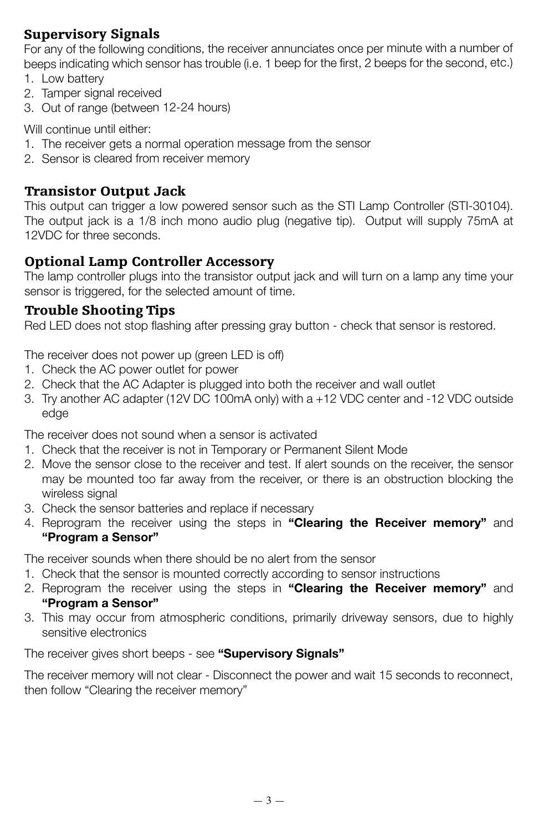#### Supervisory Signals

For any of the following conditions, the receiver annunciates once per minute with a number of beeps indicating which sensor has trouble (i.e. 1 beep for the first, 2 beeps for the second, etc.)

- 1. Low battery
- 2. Tamper signal received
- 3. Out of range (between 12-24 hours)

Will continue until either:

- 1. The receiver gets a normal operation message from the sensor
- 2. Sensor is cleared from receiver memory

#### Transistor Output Jack

This output can trigger a low powered sensor such as the STI Lamp Controller (STI-30104). The output jack is a 1/8 inch mono audio plug (negative tip). Output will supply 75mA at 12VDC for three seconds.

#### Optional Lamp Controller Accessory

The lamp controller plugs into the transistor output jack and will turn on a lamp any time your sensor is triggered, for the selected amount of time.

#### Trouble Shooting Tips

Red LED does not stop flashing after pressing gray button - check that sensor is restored.

The receiver does not power up (green LED is off)

- 1. Check the AC power outlet for power
- 2. Check that the AC Adapter is plugged into both the receiver and wall outlet
- 3. Try another AC adapter (12V DC 100mA only) with a +12 VDC center and -12 VDC outside edge

The receiver does not sound when a sensor is activated

- 1. Check that the receiver is not in Temporary or Permanent Silent Mode
- 2. Move the sensor close to the receiver and test. If alert sounds on the receiver, the sensor may be mounted too far away from the receiver, or there is an obstruction blocking the wireless signal
- 3. Check the sensor batteries and replace if necessary
- 4. Reprogram the receiver using the steps in **"Clearing the Receiver memory"** and **"Program a Sensor"**

The receiver sounds when there should be no alert from the sensor

- 1. Check that the sensor is mounted correctly according to sensor instructions
- 2. Reprogram the receiver using the steps in **"Clearing the Receiver memory"** and **"Program a Sensor"**
- 3. This may occur from atmospheric conditions, primarily driveway sensors, due to highly sensitive electronics

The receiver gives short beeps - see **"Supervisory Signals"**

The receiver memory will not clear - Disconnect the power and wait 15 seconds to reconnect, then follow "Clearing the receiver memory"